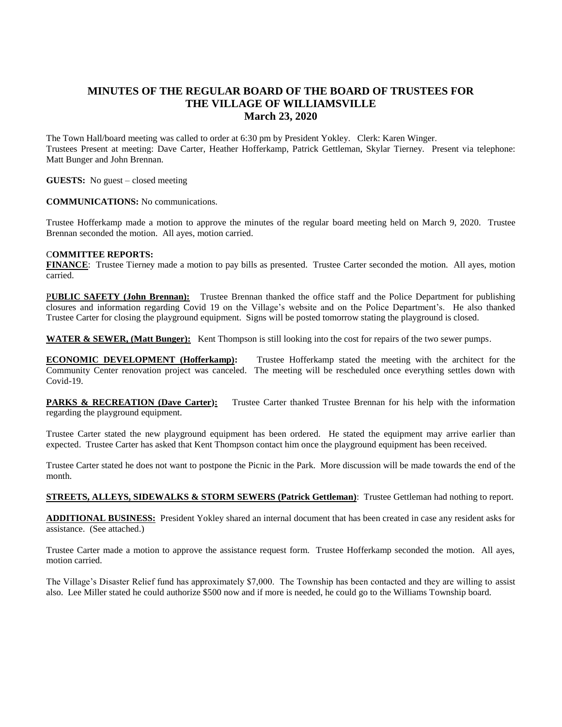## **MINUTES OF THE REGULAR BOARD OF THE BOARD OF TRUSTEES FOR THE VILLAGE OF WILLIAMSVILLE March 23, 2020**

The Town Hall/board meeting was called to order at 6:30 pm by President Yokley. Clerk: Karen Winger. Trustees Present at meeting: Dave Carter, Heather Hofferkamp, Patrick Gettleman, Skylar Tierney. Present via telephone: Matt Bunger and John Brennan.

**GUESTS:** No guest – closed meeting

## **COMMUNICATIONS:** No communications.

Trustee Hofferkamp made a motion to approve the minutes of the regular board meeting held on March 9, 2020. Trustee Brennan seconded the motion. All ayes, motion carried.

## C**OMMITTEE REPORTS:**

**FINANCE**: Trustee Tierney made a motion to pay bills as presented. Trustee Carter seconded the motion. All ayes, motion carried.

P**UBLIC SAFETY (John Brennan):** Trustee Brennan thanked the office staff and the Police Department for publishing closures and information regarding Covid 19 on the Village's website and on the Police Department's. He also thanked Trustee Carter for closing the playground equipment. Signs will be posted tomorrow stating the playground is closed.

**WATER & SEWER, (Matt Bunger):** Kent Thompson is still looking into the cost for repairs of the two sewer pumps.

**ECONOMIC DEVELOPMENT (Hofferkamp):** Trustee Hofferkamp stated the meeting with the architect for the Community Center renovation project was canceled. The meeting will be rescheduled once everything settles down with Covid-19.

**PARKS & RECREATION (Dave Carter):** Trustee Carter thanked Trustee Brennan for his help with the information regarding the playground equipment.

Trustee Carter stated the new playground equipment has been ordered. He stated the equipment may arrive earlier than expected. Trustee Carter has asked that Kent Thompson contact him once the playground equipment has been received.

Trustee Carter stated he does not want to postpone the Picnic in the Park. More discussion will be made towards the end of the month.

**STREETS, ALLEYS, SIDEWALKS & STORM SEWERS (Patrick Gettleman)**: Trustee Gettleman had nothing to report.

**ADDITIONAL BUSINESS:** President Yokley shared an internal document that has been created in case any resident asks for assistance. (See attached.)

Trustee Carter made a motion to approve the assistance request form. Trustee Hofferkamp seconded the motion. All ayes, motion carried.

The Village's Disaster Relief fund has approximately \$7,000. The Township has been contacted and they are willing to assist also. Lee Miller stated he could authorize \$500 now and if more is needed, he could go to the Williams Township board.